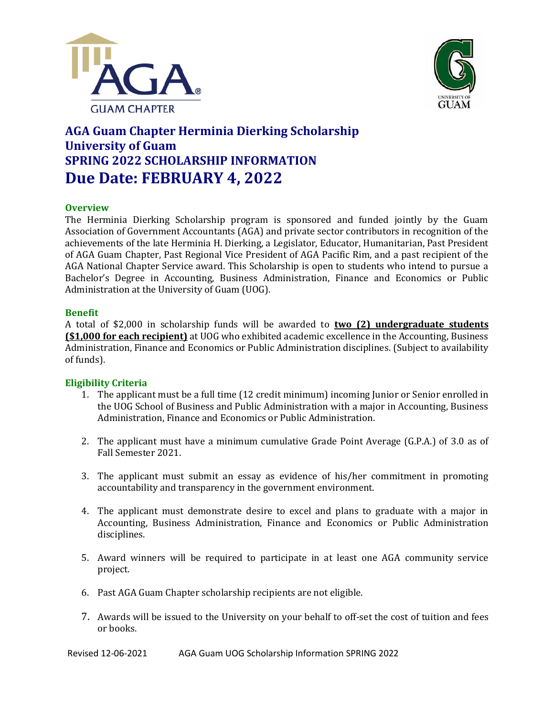



# **AGA Guam Chapter Herminia Dierking Scholarship University of Guam SPRING 2022 SCHOLARSHIP INFORMATION Due Date: FEBRUARY 4, 2022**

#### **Overview**

The Herminia Dierking Scholarship program is sponsored and funded jointly by the Guam Association of Government Accountants (AGA) and private sector contributors in recognition of the achievements of the late Herminia H. Dierking, a Legislator, Educator, Humanitarian, Past President of AGA Guam Chapter, Past Regional Vice President of AGA Pacific Rim, and a past recipient of the AGA National Chapter Service award. This Scholarship is open to students who intend to pursue a Bachelor's Degree in Accounting, Business Administration, Finance and Economics or Public Administration at the University of Guam (UOG).

#### **Benefit**

A total of \$2,000 in scholarship funds will be awarded to **two (2) undergraduate students (\$1,000 for each recipient)** at UOG who exhibited academic excellence in the Accounting, Business Administration, Finance and Economics or Public Administration disciplines. (Subject to availability of funds).

### **Eligibility Criteria**

- 1. The applicant must be a full time (12 credit minimum) incoming Junior or Senior enrolled in the UOG School of Business and Public Administration with a major in Accounting, Business Administration, Finance and Economics or Public Administration.
- 2. The applicant must have a minimum cumulative Grade Point Average (G.P.A.) of 3.0 as of Fall Semester 2021.
- 3. The applicant must submit an essay as evidence of his/her commitment in promoting accountability and transparency in the government environment.
- 4. The applicant must demonstrate desire to excel and plans to graduate with a major in Accounting, Business Administration, Finance and Economics or Public Administration disciplines.
- 5. Award winners will be required to participate in at least one AGA community service project.
- 6. Past AGA Guam Chapter scholarship recipients are not eligible.
- 7. Awards will be issued to the University on your behalf to off-set the cost of tuition and fees or books.

Revised 12-06-2021 AGA Guam UOG Scholarship Information SPRING 2022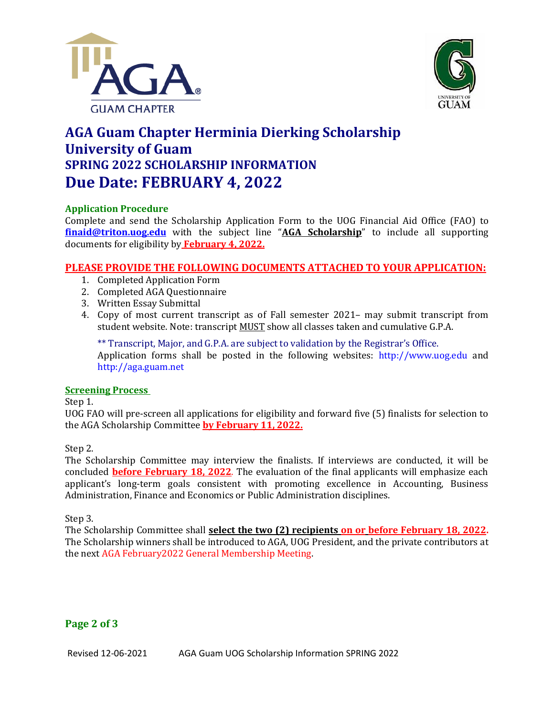



# **AGA Guam Chapter Herminia Dierking Scholarship University of Guam SPRING 2022 SCHOLARSHIP INFORMATION Due Date: FEBRUARY 4, 2022**

## **Application Procedure**

Complete and send the Scholarship Application Form to the UOG Financial Aid Office (FAO) to **[finaid@triton.uog.edu](mailto:finaid@triton.uog.edu)** with the subject line "**AGA Scholarship**" to include all supporting documents for eligibility by **February 4, 2022.**

### **PLEASE PROVIDE THE FOLLOWING DOCUMENTS ATTACHED TO YOUR APPLICATION:**

- 1. Completed Application Form
- 2. Completed AGA Questionnaire
- 3. Written Essay Submittal
- 4. Copy of most current transcript as of Fall semester 2021– may submit transcript from student website. Note: transcript MUST show all classes taken and cumulative G.P.A.

\*\* Transcript, Major, and G.P.A. are subject to validation by the Registrar's Office. Application forms shall be posted in the following websites: [http://www.uog.edu](http://www.uog.edu/) and [http://aga.guam.net](http://aga.guam.net/)

### **Screening Process**

Step 1.

UOG FAO will pre-screen all applications for eligibility and forward five (5) finalists for selection to the AGA Scholarship Committee **by February 11, 2022.**

### Step 2.

The Scholarship Committee may interview the finalists. If interviews are conducted, it will be concluded **before February 18, 2022**. The evaluation of the final applicants will emphasize each applicant's long-term goals consistent with promoting excellence in Accounting, Business Administration, Finance and Economics or Public Administration disciplines.

Step 3.

The Scholarship Committee shall **select the two (2) recipients on or before February 18, 2022.** The Scholarship winners shall be introduced to AGA, UOG President, and the private contributors at the next AGA February2022 General Membership Meeting.

### **Page 2 of 3**